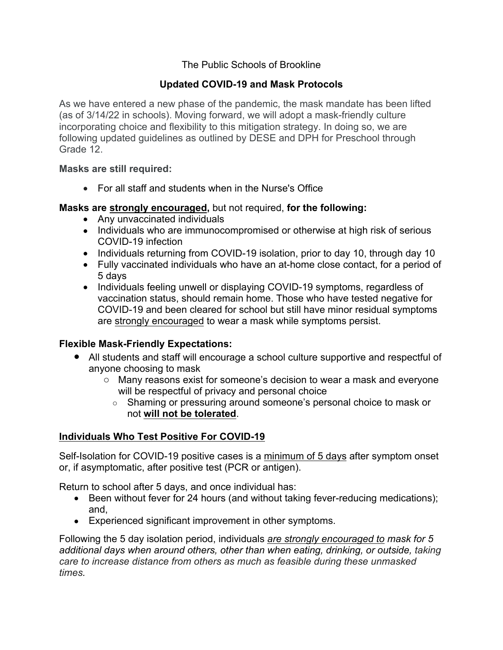# The Public Schools of Brookline

# **Updated COVID-19 and Mask Protocols**

As we have entered a new phase of the pandemic, the mask mandate has been lifted (as of 3/14/22 in schools). Moving forward, we will adopt a mask-friendly culture incorporating choice and flexibility to this mitigation strategy. In doing so, we are following updated guidelines as outlined by DESE and DPH for Preschool through Grade 12.

#### **Masks are still required:**

• For all staff and students when in the Nurse's Office

#### **Masks are strongly encouraged,** but not required, **for the following:**

- Any unvaccinated individuals
- Individuals who are immunocompromised or otherwise at high risk of serious COVID-19 infection
- Individuals returning from COVID-19 isolation, prior to day 10, through day 10
- Fully vaccinated individuals who have an at-home close contact, for a period of 5 days
- Individuals feeling unwell or displaying COVID-19 symptoms, regardless of vaccination status, should remain home. Those who have tested negative for COVID-19 and been cleared for school but still have minor residual symptoms are strongly encouraged to wear a mask while symptoms persist.

## **Flexible Mask-Friendly Expectations:**

- All students and staff will encourage a school culture supportive and respectful of anyone choosing to mask
	- o Many reasons exist for someone's decision to wear a mask and everyone will be respectful of privacy and personal choice
		- o Shaming or pressuring around someone's personal choice to mask or not **will not be tolerated**.

## **Individuals Who Test Positive For COVID-19**

Self-Isolation for COVID-19 positive cases is a minimum of 5 days after symptom onset or, if asymptomatic, after positive test (PCR or antigen).

Return to school after 5 days, and once individual has:

- Been without fever for 24 hours (and without taking fever-reducing medications); and,
- Experienced significant improvement in other symptoms.

Following the 5 day isolation period, individuals *are strongly encouraged to mask for 5 additional days when around others, other than when eating, drinking, or outside, taking care to increase distance from others as much as feasible during these unmasked times.*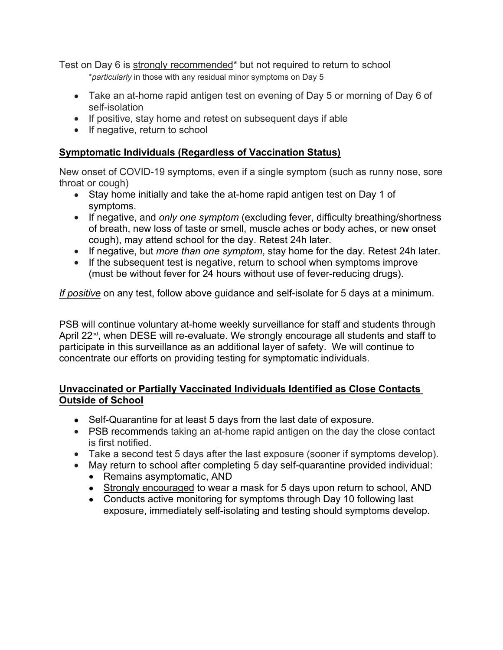Test on Day 6 is strongly recommended\* but not required to return to school \**particularly* in those with any residual minor symptoms on Day 5

- Take an at-home rapid antigen test on evening of Day 5 or morning of Day 6 of self-isolation
- If positive, stay home and retest on subsequent days if able
- If negative, return to school

# **Symptomatic Individuals (Regardless of Vaccination Status)**

New onset of COVID-19 symptoms, even if a single symptom (such as runny nose, sore throat or cough)

- Stay home initially and take the at-home rapid antigen test on Day 1 of symptoms.
- If negative, and *only one symptom* (excluding fever, difficulty breathing/shortness of breath, new loss of taste or smell, muscle aches or body aches, or new onset cough), may attend school for the day. Retest 24h later.
- If negative, but *more than one symptom*, stay home for the day. Retest 24h later.
- If the subsequent test is negative, return to school when symptoms improve (must be without fever for 24 hours without use of fever-reducing drugs).

*If positive* on any test, follow above guidance and self-isolate for 5 days at a minimum.

PSB will continue voluntary at-home weekly surveillance for staff and students through April 22<sup>nd</sup>, when DESE will re-evaluate. We strongly encourage all students and staff to participate in this surveillance as an additional layer of safety. We will continue to concentrate our efforts on providing testing for symptomatic individuals.

## **Unvaccinated or Partially Vaccinated Individuals Identified as Close Contacts Outside of School**

- Self-Quarantine for at least 5 days from the last date of exposure.
- PSB recommends taking an at-home rapid antigen on the day the close contact is first notified.
- Take a second test 5 days after the last exposure (sooner if symptoms develop).
- May return to school after completing 5 day self-quarantine provided individual:
	- Remains asymptomatic, AND
	- Strongly encouraged to wear a mask for 5 days upon return to school, AND
	- Conducts active monitoring for symptoms through Day 10 following last exposure, immediately self-isolating and testing should symptoms develop.